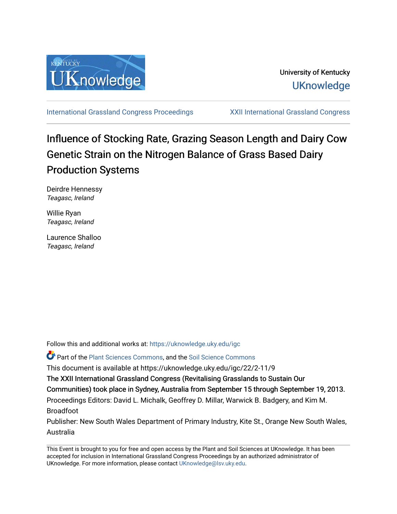

[International Grassland Congress Proceedings](https://uknowledge.uky.edu/igc) [XXII International Grassland Congress](https://uknowledge.uky.edu/igc/22) 

# Influence of Stocking Rate, Grazing Season Length and Dairy Cow Genetic Strain on the Nitrogen Balance of Grass Based Dairy Production Systems

Deirdre Hennessy Teagasc, Ireland

Willie Ryan Teagasc, Ireland

Laurence Shalloo Teagasc, Ireland

Follow this and additional works at: [https://uknowledge.uky.edu/igc](https://uknowledge.uky.edu/igc?utm_source=uknowledge.uky.edu%2Figc%2F22%2F2-11%2F9&utm_medium=PDF&utm_campaign=PDFCoverPages) 

**P** Part of the [Plant Sciences Commons](http://network.bepress.com/hgg/discipline/102?utm_source=uknowledge.uky.edu%2Figc%2F22%2F2-11%2F9&utm_medium=PDF&utm_campaign=PDFCoverPages), and the Soil Science Commons

This document is available at https://uknowledge.uky.edu/igc/22/2-11/9

The XXII International Grassland Congress (Revitalising Grasslands to Sustain Our

Communities) took place in Sydney, Australia from September 15 through September 19, 2013.

Proceedings Editors: David L. Michalk, Geoffrey D. Millar, Warwick B. Badgery, and Kim M. Broadfoot

Publisher: New South Wales Department of Primary Industry, Kite St., Orange New South Wales, Australia

This Event is brought to you for free and open access by the Plant and Soil Sciences at UKnowledge. It has been accepted for inclusion in International Grassland Congress Proceedings by an authorized administrator of UKnowledge. For more information, please contact [UKnowledge@lsv.uky.edu](mailto:UKnowledge@lsv.uky.edu).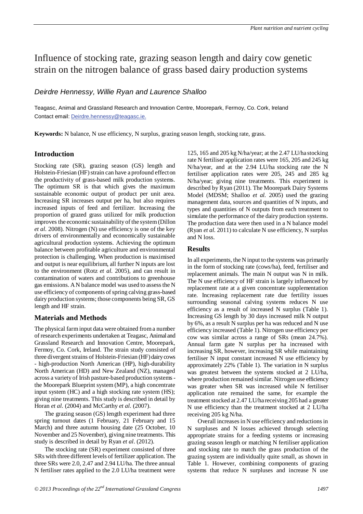# Influence of stocking rate, grazing season length and dairy cow genetic strain on the nitrogen balance of grass based dairy production systems

# *Deirdre Hennessy, Willie Ryan and Laurence Shalloo*

Teagasc, Animal and Grassland Research and Innovation Centre, Moorepark, Fermoy, Co. Cork, Ireland Contact email: Deirdre.hennessy@teagasc.ie.

**Keywords:** N balance, N use efficiency, N surplus, grazing season length, stocking rate, grass.

## **Introduction**

Stocking rate (SR), grazing season (GS) length and Holstein-Friesian (HF) strain can have a profound effect on the productivity of grass-based milk production systems. The optimum SR is that which gives the maximum sustainable economic output of product per unit area. Increasing SR increases output per ha, but also requires increased inputs of feed and fertilizer. Increasing the proportion of grazed grass utilized for milk production improves the economic sustainability of the system (Dillon *et al.* 2008). Nitrogen (N) use efficiency is one of the key drivers of environmentally and economically sustainable agricultural production systems. Achieving the optimum balance between profitable agriculture and environmental protection is challenging. When production is maximised and output is near equilibrium, all further N inputs are lost to the environment (Rotz *et al.* 2005), and can result in contamination of waters and contributions to greenhouse gas emissions. A N balance model was used to assess the N use efficiency of components of spring calving grass-based dairy production systems; those components being SR, GS length and HF strain.

### **Materials and Methods**

The physical farm input data were obtained from a number of research experiments undertaken at Teagasc, Animal and Grassland Research and Innovation Centre, Moorepark, Fermoy, Co. Cork, Ireland. The strain study consisted of three divergent strains of Holstein-Friesian (HF) dairy cows - high-production North American (HP), high-durability North American (HD) and New Zealand (NZ), managed across a variety of Irish pasture-based production systems the Moorepark Blueprint system (MP), a high concentrate input system (HC) and a high stocking rate system (HS); giving nine treatments. This study is described in detail by Horan *et al.* (2004) and McCarthy *et al.* (2007).

The grazing season (GS) length experiment had three spring turnout dates (1 February, 21 February and 15 March) and three autumn housing date (25 October, 10 November and 25 November), giving nine treatments. This study is described in detail by Ryan *et al*. (2012).

The stocking rate (SR) experiment consisted of three SRs with three different levels of fertilizer application. The three SRs were 2.0, 2.47 and 2.94 LU/ha. The three annual N fertiliser rates applied to the 2.0 LU/ha treatment were

125, 165 and 205 kg N/ha/year; at the 2.47 LU/ha stocking rate N fertiliser application rates were 165, 205 and 245 kg N/ha/year, and at the 2.94 LU/ha stocking rate the N fertiliser application rates were 205, 245 and 285 kg N/ha/year; giving nine treatments. This experiment is described by Ryan (2011). The Moorepark Dairy Systems Model (MDSM; Shalloo *et al.* 2005) used the grazing management data, sources and quantities of N inputs, and types and quantities of N outputs from each treatment to simulate the performance of the dairy production systems. The production data were then used in a N balance model (Ryan *et al.* 2011) to calculate N use efficiency, N surplus and N loss.

### **Results**

In all experiments, the N input to the systems was primarily in the form of stocking rate (cows/ha), feed, fertiliser and replacement animals. The main N output was N in milk. The N use efficiency of HF strain is largely influenced by replacement rate at a given concentrate supplementation rate. Increasing replacement rate due fertility issues surrounding seasonal calving systems reduces N use efficiency as a result of increased N surplus (Table 1). Increasing GS length by 30 days increased milk N output by 6%, as a result N surplus per ha was reduced and N use efficiency increased (Table 1). Nitrogen use efficiency per cow was similar across a range of SRs (mean 24.7%). Annual farm gate N surplus per ha increased with increasing SR, however, increasing SR while maintaining fertiliser N input constant increased N use efficiency by approximately 22% (Table 1). The variation in N surplus was greatest between the systems stocked at 2 LU/ha, where production remained similar. Nitrogen use efficiency was greater when SR was increased while N fertiliser application rate remained the same, for example the treatment stocked at 2.47 LU/ha receiving 205 had a greater N use efficiency than the treatment stocked at 2 LU/ha receiving 205 kg N/ha.

Overall increases in N use efficiency and reductions in N surpluses and N losses achieved through selecting appropriate strains for a feeding systems or increasing grazing season length or matching N fertiliser application and stocking rate to match the grass production of the grazing system are individually quite small, as shown in Table 1. However, combining components of grazing systems that reduce N surpluses and increase N use